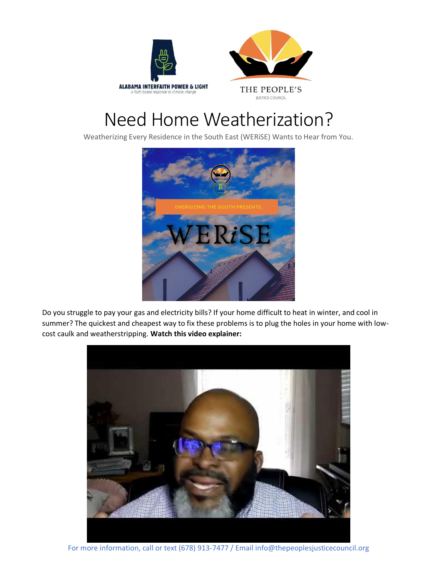



## Need Home Weatherization?

Weatherizing Every Residence in the South East (WERiSE) Wants to Hear from You.



Do you struggle to pay your gas and electricity bills? If your home difficult to heat in winter, and cool in summer? The quickest and cheapest way to fix these problems is to plug the holes in your home with lowcost caulk and weatherstripping. **Watch this video explainer:**



For more information, call or text (678) 913-7477 / Email info@thepeoplesjusticecouncil.org